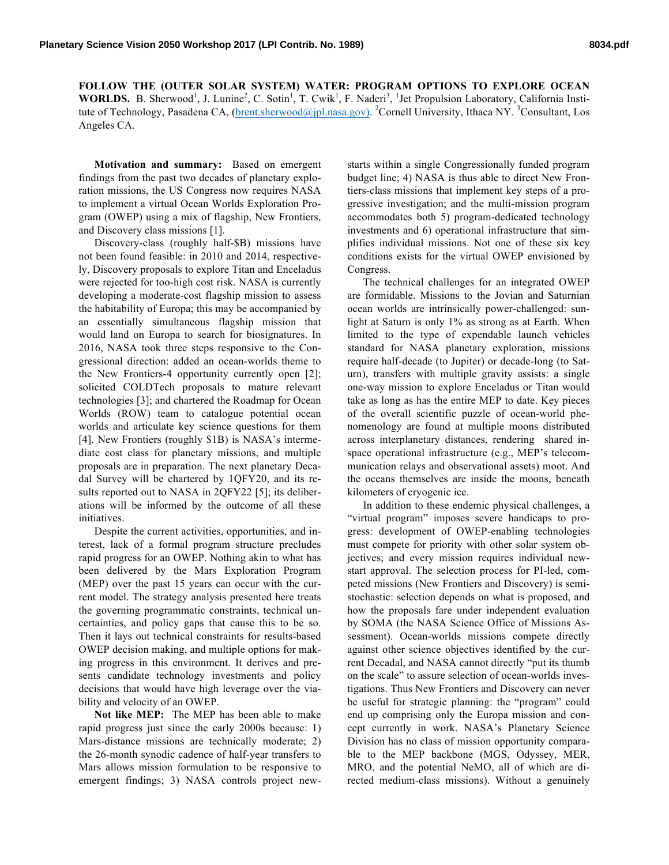**FOLLOW THE (OUTER SOLAR SYSTEM) WATER: PROGRAM OPTIONS TO EXPLORE OCEAN**  WORLDS. B. Sherwood<sup>1</sup>, J. Lunine<sup>2</sup>, C. Sotin<sup>1</sup>, T. Cwik<sup>1</sup>, F. Naderi<sup>3</sup>, <sup>1</sup>Jet Propulsion Laboratory, California Institute of Technology, Pasadena CA, (brent.sherwood@jpl.nasa.gov). <sup>2</sup>Cornell University, Ithaca NY. <sup>3</sup>Consultant, Los Angeles CA.

**Motivation and summary:** Based on emergent findings from the past two decades of planetary exploration missions, the US Congress now requires NASA to implement a virtual Ocean Worlds Exploration Program (OWEP) using a mix of flagship, New Frontiers, and Discovery class missions [1].

Discovery-class (roughly half-\$B) missions have not been found feasible: in 2010 and 2014, respectively, Discovery proposals to explore Titan and Enceladus were rejected for too-high cost risk. NASA is currently developing a moderate-cost flagship mission to assess the habitability of Europa; this may be accompanied by an essentially simultaneous flagship mission that would land on Europa to search for biosignatures. In 2016, NASA took three steps responsive to the Congressional direction: added an ocean-worlds theme to the New Frontiers-4 opportunity currently open [2]; solicited COLDTech proposals to mature relevant technologies [3]; and chartered the Roadmap for Ocean Worlds (ROW) team to catalogue potential ocean worlds and articulate key science questions for them [4]. New Frontiers (roughly \$1B) is NASA's intermediate cost class for planetary missions, and multiple proposals are in preparation. The next planetary Decadal Survey will be chartered by 1QFY20, and its results reported out to NASA in 2QFY22 [5]; its deliberations will be informed by the outcome of all these initiatives.

Despite the current activities, opportunities, and interest, lack of a formal program structure precludes rapid progress for an OWEP. Nothing akin to what has been delivered by the Mars Exploration Program (MEP) over the past 15 years can occur with the current model. The strategy analysis presented here treats the governing programmatic constraints, technical uncertainties, and policy gaps that cause this to be so. Then it lays out technical constraints for results-based OWEP decision making, and multiple options for making progress in this environment. It derives and presents candidate technology investments and policy decisions that would have high leverage over the viability and velocity of an OWEP.

**Not like MEP:** The MEP has been able to make rapid progress just since the early 2000s because: 1) Mars-distance missions are technically moderate; 2) the 26-month synodic cadence of half-year transfers to Mars allows mission formulation to be responsive to emergent findings; 3) NASA controls project new-

starts within a single Congressionally funded program budget line; 4) NASA is thus able to direct New Frontiers-class missions that implement key steps of a progressive investigation; and the multi-mission program accommodates both 5) program-dedicated technology investments and 6) operational infrastructure that simplifies individual missions. Not one of these six key conditions exists for the virtual OWEP envisioned by Congress.

The technical challenges for an integrated OWEP are formidable. Missions to the Jovian and Saturnian ocean worlds are intrinsically power-challenged: sunlight at Saturn is only 1% as strong as at Earth. When limited to the type of expendable launch vehicles standard for NASA planetary exploration, missions require half-decade (to Jupiter) or decade-long (to Saturn), transfers with multiple gravity assists: a single one-way mission to explore Enceladus or Titan would take as long as has the entire MEP to date. Key pieces of the overall scientific puzzle of ocean-world phenomenology are found at multiple moons distributed across interplanetary distances, rendering shared inspace operational infrastructure (e.g., MEP's telecommunication relays and observational assets) moot. And the oceans themselves are inside the moons, beneath kilometers of cryogenic ice.

In addition to these endemic physical challenges, a "virtual program" imposes severe handicaps to progress: development of OWEP-enabling technologies must compete for priority with other solar system objectives; and every mission requires individual newstart approval. The selection process for PI-led, competed missions (New Frontiers and Discovery) is semistochastic: selection depends on what is proposed, and how the proposals fare under independent evaluation by SOMA (the NASA Science Office of Missions Assessment). Ocean-worlds missions compete directly against other science objectives identified by the current Decadal, and NASA cannot directly "put its thumb on the scale" to assure selection of ocean-worlds investigations. Thus New Frontiers and Discovery can never be useful for strategic planning: the "program" could end up comprising only the Europa mission and concept currently in work. NASA's Planetary Science Division has no class of mission opportunity comparable to the MEP backbone (MGS, Odyssey, MER, MRO, and the potential NeMO, all of which are directed medium-class missions). Without a genuinely